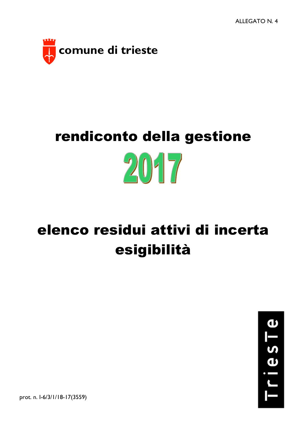

## rendiconto della gestione  $20 - 7$

## elenco residui attivi di incerta esigibilità



prot. n. I-6/3/1/18-17(3559)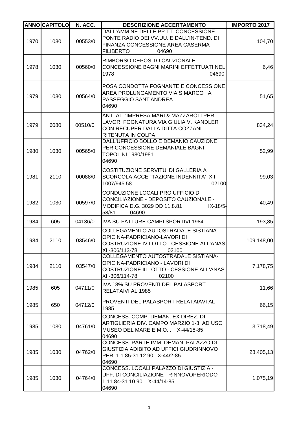|      | <b>ANNO CAPITOLO</b> | N. ACC. | <b>DESCRIZIONE ACCERTAMENTO</b>                                                                                                                                                  | <b>IMPORTO 2017</b> |
|------|----------------------|---------|----------------------------------------------------------------------------------------------------------------------------------------------------------------------------------|---------------------|
| 1970 | 1030                 | 00553/0 | DALL'AMM.NE DELLE PP.TT. CONCESSIONE<br>PONTE RADIO DEI VV.UU. E DALL'IN-TEND. DI<br>FINANZA CONCESSIONE AREA CASERMA<br><b>FILIBERTO</b><br>04690                               | 104,70              |
| 1978 | 1030                 | 00560/0 | RIMBORSO DEPOSITO CAUZIONALE<br>CONCESSIONE BAGNI MARINI EFFETTUATI NEL<br>1978<br>04690                                                                                         | 6,46                |
| 1979 | 1030                 | 00564/0 | POSA CONDOTTA FOGNANTE E CONCESSIONE<br>AREA PROLUNGAMENTO VIA S.MARCO A<br>PASSEGGIO SANT'ANDREA<br>04690                                                                       | 51,65               |
| 1979 | 6080                 | 00510/0 | ANT. ALL'IMPRESA MARI & MAZZAROLI PER<br>LAVORI FOGNATURA VIA GIULIA V. KANDLER<br>CON RECUPER DALLA DITTA COZZANI<br>RITENUTA IN COLPA<br>DALL'UFFICIO BOLLO E DEMANIO CAUZIONE | 834,24              |
| 1980 | 1030                 | 00565/0 | PER CONCESSIONE DEMANIALE BAGNI<br>TOPOLINI 1980/1981<br>04690                                                                                                                   | 52,99               |
| 1981 | 2110                 | 00088/0 | COSTITUZIONE SERVITU' DI GALLERIA A<br>SCORCOLA ACCETTAZIONE INDENNITA' XII<br>1007/945 58<br>02100                                                                              | 99,03               |
| 1982 | 1030                 | 00597/0 | CONDUZIONE LOCALI PRO UFFICIO DI<br>CONCILIAZIONE - DEPOSITO CAUZIONALE -<br>MODIFICA D.G. 3029 DD 11.8.81<br>$IX - 18/5 -$<br>58/81<br>04690                                    | 40,49               |
| 1984 | 605                  | 04136/0 | <b>IVA SU FATTURE CAMPI SPORTIVI 1984</b>                                                                                                                                        | 193,85              |
| 1984 | 2110                 | 03546/0 | COLLEGAMENTO AUTOSTRADALE SISTIANA-<br>OPICINA-PADRICIANO-LAVORI DI<br>COSTRUZIONE IV LOTTO - CESSIONE ALL'ANAS<br>XII-306/113-78<br>02100                                       | 109.148,00          |
| 1984 | 2110                 | 03547/0 | <b>COLLEGAMENTO AUTOSTRADALE SISTIANA-</b><br>OPICINA-PADRICIANO - LAVORI DI<br>COSTRUZIONE III LOTTO - CESSIONE ALL'ANAS<br>XII-306/114-78<br>02100                             | 7.178,75            |
| 1985 | 605                  | 04711/0 | IVA 18% SU PROVENTI DEL PALASPORT<br>RELATAIVI AL 1985                                                                                                                           | 11,66               |
| 1985 | 650                  | 04712/0 | <b>PROVENTI DEL PALASPORT RELATAIAVI AL</b><br>1985                                                                                                                              | 66,15               |
| 1985 | 1030                 | 04761/0 | CONCESS. COMP. DEMAN. EX DIREZ. DI<br>ARTIGLIERIA DIV. CAMPO MARZIO 1-3 AD USO<br>MUSEO DEL MARE E M.O.I. X-44/18-85<br>04690                                                    | 3.718,49            |
| 1985 | 1030                 | 04762/0 | CONCESS. PARTE IMM. DEMAN. PALAZZO DI<br>GIUSTIZIA ADIBITO AD UFFICI GIUDRINNOVO<br>PER. 1.1.85-31.12.90 X-44/2-85<br>04690                                                      | 28.405,13           |
| 1985 | 1030                 | 04764/0 | CONCESS. LOCALI PALAZZO DI GIUSTIZIA -<br>UFF. DI CONCILIAZIONE - RINNOVOPERIODO<br>1.11.84-31.10.90 X-44/14-85<br>04690                                                         | 1.075,19            |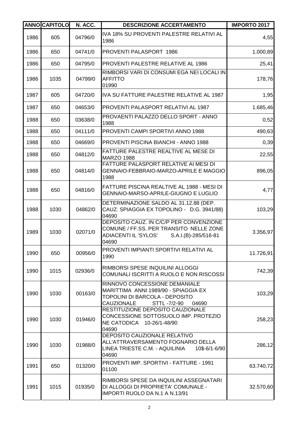|      | <b>ANNO CAPITOLO</b> | N. ACC. | <b>DESCRIZIONE ACCERTAMENTO</b>                                                                                                                       | <b>IMPORTO 2017</b> |
|------|----------------------|---------|-------------------------------------------------------------------------------------------------------------------------------------------------------|---------------------|
| 1986 | 605                  | 04796/0 | IVA 18% SU PROVENTI PALESTRE RELATIVI AL<br>1986                                                                                                      | 4,55                |
| 1986 | 650                  | 04741/0 | PROVENTI PALASPORT 1986                                                                                                                               | 1.000,89            |
| 1986 | 650                  | 04795/0 | <b>PROVENTI PALESTRE RELATIVE AL 1986</b>                                                                                                             | 25,41               |
| 1986 | 1035                 | 04799/0 | RIMBORSI VARI DI CONSUMI EGA NEI LOCALI IN<br><b>AFFITTO</b><br>01990                                                                                 | 178,76              |
| 1987 | 605                  | 04720/0 | IVA SU FATTURE PALESTRE RELATIVE AL 1987                                                                                                              | 1,95                |
| 1987 | 650                  | 04653/0 | PROVENTI PALASPORT RELATIVI AL 1987                                                                                                                   | 1.685,46            |
| 1988 | 650                  | 03638/0 | PROVAENTI PALAZZO DELLO SPORT - ANNO<br>1988                                                                                                          | 0,52                |
| 1988 | 650                  | 04111/0 | PROVENTI CAMPI SPORTIVI ANNO 1988                                                                                                                     | 490,63              |
| 1988 | 650                  | 04669/0 | <b>PROVENTI PISCINA BIANCHI - ANNO 1988</b>                                                                                                           | 0,39                |
| 1988 | 650                  | 04812/0 | FATTURE PALESTRE REALTIVE AL MESE DI<br><b>MARZO 1988</b>                                                                                             | 22,55               |
| 1988 | 650                  | 04814/0 | FATTURE PALASPORT RELATIVE AI MESI DI<br>GENNAIO-FEBBRAIO-MARZO-APRILE E MAGGIO<br>1988                                                               | 896,05              |
| 1988 | 650                  | 04816/0 | FATTURE PISCINA REALTIVE AL 1988 - MESI DI<br>GENNAIO-MARSO-APRILE-GIUGNO E LUGLIO                                                                    | 4,77                |
| 1988 | 1030                 | 04862/0 | DETERMINAZIONE SALDO AL 31.12.88 (DEP.<br>CAUZ. SPIAGGIA EX TOPOLINO - D.G. 3941/88)<br>04690                                                         | 103,29              |
| 1989 | 1030                 | 02071/0 | DEPOSITO CAUZ. IN C/C/P PER CONVENZIONE<br>COMUNE / FF.SS. PER TRANSITO NELLE ZONE<br>ADIACENTI IL 'SYLOS'<br>S.A.I.(B)-285/516-81<br>04690           | 3.356,97            |
| 1990 | 650                  | 00956/0 | <b>PROVENTI IMPIANTI SPORTIVI RELATIVI AL</b><br>1990                                                                                                 | 11.726,91           |
| 1990 | 1015                 | 02936/0 | RIMBORSI SPESE INQUILINI ALLOGGI<br>COMUNALI ISCRITTI A RUOLO E NON RISCOSSI                                                                          | 742,39              |
| 1990 | 1030                 | 00163/0 | RINNOVO CONCESSIONE DEMANIALE<br>MARITTIMA ANNI 1989/90 - SPIAGGIA EX<br>TOPOLINI DI BARCOLA - DEPOSITO<br><b>CAUZIONALE</b><br>STTL -7/2-90<br>04690 | 103,29              |
| 1990 | 1030                 | 01946/0 | RESTITUZIONE DEPOSITO CAUZIONALE<br>CONCESSIONE SOTTOSUOLO IMP. PROTEZIO<br>NE CATODICA 10-26/1-48/90<br>04690                                        | 258,23              |
| 1990 | 1030                 | 01988/0 | DEPOSITO CAUZIONALE RELATIVO<br>ALL'ATTRAVERSAMENTO FOGNARIO DELLA<br>LINEA TRIESTE C.M. - AQUILINIA<br>10\$-6/1-6/90<br>04690                        | 286,12              |
| 1991 | 650                  | 01320/0 | PROVENTI IMP. SPORTIVI - FATTURE - 1991<br>01100                                                                                                      | 63.740,72           |
| 1991 | 1015                 | 01935/0 | RIMBORSI SPESE DA INQUILINI ASSEGNATARI<br>DI ALLOGGI DI PROPRIETA' COMUNALE -<br><b>IMPORTI RUOLO DA N.1 A N.13/91</b>                               | 32.570,60           |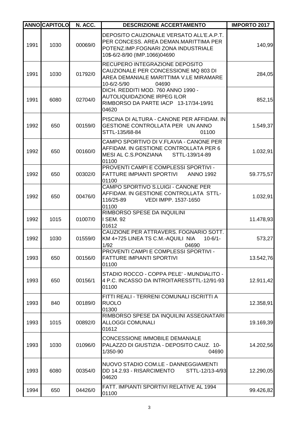|      | <b>ANNOCAPITOLO</b> | N. ACC. | <b>DESCRIZIONE ACCERTAMENTO</b>                                                                                                                           | <b>IMPORTO 2017</b> |
|------|---------------------|---------|-----------------------------------------------------------------------------------------------------------------------------------------------------------|---------------------|
| 1991 | 1030                | 00069/0 | DEPOSITO CAUZIONALE VERSATO ALL'E.A.P.T.<br>PER CONCESS. AREA DEMAN.MARITTIMA PER<br>POTENZ.IMP.FOGNARI ZONA INDUSTRIALE<br>10\$-6/2-8/90 (IMP.1066)04690 | 140,99              |
| 1991 | 1030                | 01792/0 | RECUPERO INTEGRAZIONE DEPOSITO<br>CAUZIONALE PER CONCESSIONE MQ 803 DI<br>AREA DEMANIALE MARITTIMA V.LE MIRAMARE<br>10-6/2-5/90<br>04690                  | 284,05              |
| 1991 | 6080                | 02704/0 | DICH. REDDITI MOD. 760 ANNO 1990 -<br><b>AUTOLIQUIDAZIONE IRPEG ILOR</b><br>RIMBORSO DA PARTE IACP 13-17/34-19/91<br>04620                                | 852,15              |
| 1992 | 650                 | 00159/0 | PISCINA DI ALTURA - CANONE PER AFFIDAM. IN<br>GESTIONE CONTROLLATA PER UN ANNO<br>STTL-135/68-84<br>01100                                                 | 1.549,37            |
| 1992 | 650                 | 00160/0 | CAMPO SPORTIVO DI V.FLAVIA - CANONE PER<br>AFFIDAM. IN GESTIONE CONTROLLATA PER 6<br>MESI AL C.S.PONZIANA<br>STTL-139/14-89<br>01100                      | 1.032,91            |
| 1992 | 650                 | 00302/0 | PROVENTI CAMPI E COMPLESSI SPORTIVI -<br>FATTURE IMPIANTI SPORTIVI<br><b>ANNO 1992</b><br>01100                                                           | 59.775,57           |
| 1992 | 650                 | 00476/0 | CAMPO SPORTIVO S.LUIGI - CANONE PER<br>AFFIDAM. IN GESTIONE CONTROLLATA STTL-<br>116/25-89<br>VEDI IMPP. 1537-1650<br>01100                               | 1.032,91            |
| 1992 | 1015                | 01007/0 | RIMBORSO SPESE DA INQUILINI<br>I SEM. 92<br>01612                                                                                                         | 11.478,93           |
| 1992 | 1030                | 01559/0 | CAUZIONE PER ATTRAVERS. FOGNARIO SOTT.<br>KM 4+725 LINEA TS C.M.-AQUILI NIA<br>$10-6/1-$<br>1/92<br>04690                                                 | 573,27              |
| 1993 | 650                 | 00156/0 | PROVENTI CAMPI E COMPLESSI SPORTIVI -<br><b>FATTURE IMPIANTI SPORTIVI</b><br>01100                                                                        | 13.542,76           |
| 1993 | 650                 | 00156/1 | STADIO ROCCO - COPPA PELE' - MUNDIALITO -<br>4 P.C. INCASSO DA INTROITARESSTTL-12/91-93<br>01100                                                          | 12.911,42           |
| 1993 | 840                 | 00189/0 | FITTI REALI - TERRENI COMUNALI ISCRITTI A<br><b>RUOLO</b><br>01300                                                                                        | 12.358,91           |
| 1993 | 1015                | 00892/0 | RIMBORSO SPESE DA INQUILINI ASSEGNATARI<br><b>ALLOGGI COMUNALI</b><br>01612                                                                               | 19.169,39           |
| 1993 | 1030                | 01096/0 | <b>CONCESSIONE IMMOBILE DEMANIALE</b><br>PALAZZO DI GIUSTIZIA - DEPOSITO CAUZ. 10-<br>1/350-90<br>04690                                                   | 14.202,56           |
| 1993 | 6080                | 00354/0 | NUOVO STADIO COM.LE - DANNEGGIAMENTI<br>DD 14.2.93 - RISARCIMENTO<br>STTL-12/13-4/93<br>04620                                                             | 12.290,05           |
| 1994 | 650                 | 04426/0 | FATT. IMPIANTI SPORTIVI RELATIVE AL 1994<br>01100                                                                                                         | 99.426,82           |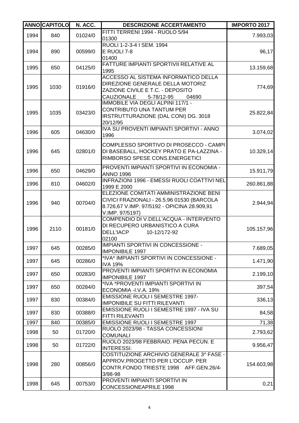|      | <b>ANNO CAPITOLO</b> | N. ACC. | <b>DESCRIZIONE ACCERTAMENTO</b>                                                                                                                          | <b>IMPORTO 2017</b> |
|------|----------------------|---------|----------------------------------------------------------------------------------------------------------------------------------------------------------|---------------------|
| 1994 | 840                  | 01024/0 | FITTI TERRENI 1994 - RUOLO 5/94<br>01300                                                                                                                 | 7.993,03            |
| 1994 | 890                  | 00599/0 | RUOLI 1-2-3-4 I SEM. 1994<br>E RUOLI 7-8<br>01400                                                                                                        | 96,17               |
| 1995 | 650                  | 04125/0 | FATTURE IMPIANTI SPORTIVII RELATIVE AL<br>1995                                                                                                           | 13.159,68           |
| 1995 | 1030                 | 01916/0 | ACCESSO AL SISTEMA INFORMATICO DELLA<br>DIREZIONE GENERALE DELLA MOTORIZ<br>ZAZIONE CIVILE E T.C. - DEPOSITO<br><b>CAUZIONALE</b><br>5-78/12-95<br>04690 | 774,69              |
| 1995 | 1035                 | 03423/0 | IMMOBILE VIA DEGLI ALPINI 117/1 -<br><b>CONTRIBUTO UNA TANTUM PER</b><br>IRSTRUTTURAZIONE (DAL CONI) DG. 3018<br>20/12/95                                | 25.822,84           |
| 1996 | 605                  | 04630/0 | IVA SU PROVENTI IMPIANTI SPORTIVI - ANNO<br>1996                                                                                                         | 3.074,02            |
| 1996 | 645                  | 02801/0 | COMPLESSO SPORTIVO DI PROSECCO - CAMPI<br>DI BASEBALL, HOCKEY PRATO E PA-LAZZINA -<br>RIMBORSO SPESE CONS.ENERGETICI                                     | 10.329,14           |
| 1996 | 650                  | 04629/0 | PROVENTI IMPIANTI SPORTIVI IN ECONOMIA -<br><b>ANNO 1996</b>                                                                                             | 15.911,79           |
| 1996 | 810                  | 04602/0 | <b>INFRAZIONI 1996 - EMESSI RUOLI COATTIVI NEL</b><br>1999 E 2000                                                                                        | 260.861,88          |
| 1996 | 940                  | 00704/0 | ELEZIONE COMITATI AMMINISTRAZIONE BENI<br>CIVICI FRAZIONALI - 26.5.96 01530 (BARCOLA<br>8.726,67 V.IMP. 97/5192 - OPICINA 28.909,91<br>V.IMP. 97/5197)   | 2.944,94            |
| 1996 | 2110                 | 00181/0 | COMPENDIO DI V.DELL'ACQUA - INTERVENTO<br>DI RECUPERO URBANISTICO A CURA<br><b>DELL'IACP</b><br>10-12/172-92<br>02100                                    | 105.157,96          |
| 1997 | 645                  | 00285/0 | <b>IMPIANTI SPORTIVI IN CONCESSIONE -</b><br><b>IMPONIBILE 1997</b>                                                                                      | 7.689,05            |
| 1997 | 645                  | 00286/0 | *IVA* IMPIANTI SPORTIVI IN CONCESSIONE -<br><b>IVA 19%</b>                                                                                               | 1.471,90            |
| 1997 | 650                  | 00283/0 | PROVENTI IMPIANTI SPORTIVI IN ECONOMIA<br><b>IMPONIBILE 1997</b>                                                                                         | 2.199,10            |
| 1997 | 650                  | 00284/0 | *IVA *PROVENTI IMPIANTI SPORTIVI IN<br>ECONOMIA - I.V.A. 19%                                                                                             | 397,54              |
| 1997 | 830                  | 00384/0 | <b>EMISSIONE RUOLI I SEMESTRE 1997-</b><br><b>IMPONIBILE SU FITTI RILEVANTI</b>                                                                          | 336,13              |
| 1997 | 830                  | 00388/0 | EMISSIONE RUOLI I SEMESTRE 1997 - IVA SU<br>FITTI RILEVANTI                                                                                              | 84,58               |
| 1997 | 840                  | 00385/0 | <b>EMISSIONE RUOLI I SEMESTRE 1997</b>                                                                                                                   | 71,38               |
| 1998 | 50                   | 01720/0 | RUOLO 2023/98 - TASSA CONCESSIONI<br><b>COMUNALI</b>                                                                                                     | 2.793,62            |
| 1998 | 50                   | 01722/0 | RUOLO 2023/98 FEBBRAIO. PENA PECUN. E<br><b>INTERESSI.</b>                                                                                               | 9.956,47            |
| 1998 | 280                  | 00856/0 | COSTITUZIONE ARCHIVIO GENERALE 3^ FASE -<br>APPROV.PROGETTO PER L'OCCUP. PER<br>CONTR.FONDO TRIESTE 1998 AFF.GEN.26/4-<br>3/98-98                        | 154.603,98          |
| 1998 | 645                  | 00753/0 | PROVENTI IMPIANTI SPORTIVI IN<br><b>CONCESSIONEAPRILE 1998</b>                                                                                           | 0,21                |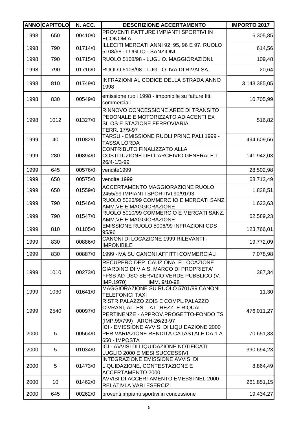|      | <b>ANNOCAPITOLO</b> | N. ACC. | <b>DESCRIZIONE ACCERTAMENTO</b>                                                                                                                             | <b>IMPORTO 2017</b> |
|------|---------------------|---------|-------------------------------------------------------------------------------------------------------------------------------------------------------------|---------------------|
| 1998 | 650                 | 00410/0 | PROVENTI FATTURE IMPIANTI SPORTIVI IN<br><b>ECONOMIA</b>                                                                                                    | 6.305,85            |
| 1998 | 790                 | 01714/0 | ILLECITI MERCATI ANNI 92, 95, 96 E 97. RUOLO<br>5108/98 - LUGLIO - SANZIONI.                                                                                | 614,56              |
| 1998 | 790                 | 01715/0 | RUOLO 5108/98 - LUGLIO. MAGGIORAZIONI.                                                                                                                      | 109,48              |
| 1998 | 790                 | 01716/0 | RUOLO 5108/98 - LUGLIO. IVA DI RIVALSA.                                                                                                                     | 20,64               |
| 1998 | 810                 | 01749/0 | INFRAZIONI AL CODICE DELLA STRADA ANNO<br>1998                                                                                                              | 3.148.385,05        |
| 1998 | 830                 | 00549/0 | emissione ruoli 1998 - imponibile su fatture fitti<br>commerciali                                                                                           | 10.705,99           |
| 1998 | 1012                | 01327/0 | RINNOVO CONCESSIONE AREE DI TRANSITO<br>PEDONALE E MOTORIZZATO ADIACENTI EX<br>SILOS E STAZIONE FERROVIARIA<br>TERR. 17/9-97                                | 516,82              |
| 1999 | 40                  | 01082/0 | TARSU - EMISSIONE RUOLI PRINCIPALI 1999 -<br><b>TASSA LORDA</b>                                                                                             | 494.609,56          |
| 1999 | 280                 | 00894/0 | CONTRIBUTO FINALIZZATO ALLA<br>COSTITUZIONE DELL'ARCHIVIO GENERALE 1-<br>26/4-1/3-99                                                                        | 141.942,03          |
| 1999 | 645                 | 00576/0 | vendite1999                                                                                                                                                 | 28.502,98           |
| 1999 | 650                 | 00575/0 | vendite 1999                                                                                                                                                | 68.713,49           |
| 1999 | 650                 | 01559/0 | ACCERTAMENTO MAGGIORAZIONE RUOLO<br>2455/99 IMPIANTI SPORTIVI 90/91/93                                                                                      | 1.838,51            |
| 1999 | 790                 | 01546/0 | RUOLO 5026/99 COMMERC IO E MERCATI SANZ.<br>AMM.VE E MAGGIORAZIONE                                                                                          | 1.623,63            |
| 1999 | 790                 | 01547/0 | RUOLO 5010/99 COMMERCIO E MERCATI SANZ.<br>AMM.VE E MAGGIORAZIONE                                                                                           | 62.589,23           |
| 1999 | 810                 | 01105/0 | EMISSIONE RUOLO 5006/99 INFRAZIONI CDS<br>95/96                                                                                                             | 123.766,01          |
| 1999 | 830                 | 00886/0 | CANONI DI LOCAZIONE 1999 RILEVANTI -<br><b>IMPONIBILE</b>                                                                                                   | 19.772,09           |
| 1999 | 830                 | 00887/0 | 1999 - IVA SU CANONI AFFITTI COMMERCIALI                                                                                                                    | 7.078,98            |
| 1999 | 1010                | 00273/0 | RECUPERO DEP. CAUZIONALE LOCAZIONE<br><b>GIARDINO DI VIA S. MARCO DI PROPRIETA'</b><br>FFSS AD USO SERVIZIO VERDE PUBBLICO (V.<br>IMP.1970)<br>IMM. 9/10-98 | 387,34              |
| 1999 | 1030                | 01641/0 | MAGGIORAZIONE SU RUOLO 5701/99 CANONI<br><b>TELEFONICI TAXI</b>                                                                                             | 11,30               |
| 1999 | 2540                | 00097/0 | RISTR.PALAZZO ZOIS E COMPL.PALAZZO<br>CIVRANI, ALLEST. ATTREZZ. E RIQUAL.<br>PERTINENZE - APPROV.PROGETTO-FONDO TS<br>(IMP.99/799) ARCH-26/23-97            | 476.011,27          |
| 2000 | 5                   | 00564/0 | ICI - EMISSIONE AVVISI DI LIQUIDAZIONE 2000<br>PER VARIAZIONE RENDITA CATASTALE DA 1 A<br>650 - IMPOSTA                                                     | 70.651,33           |
| 2000 | 5                   | 01034/0 | ICI - AVVISI DI LIQUIDAZIONE NOTIFICATI<br>LUGLIO 2000 E MESI SUCCESSIVI                                                                                    | 390.694,23          |
| 2000 | 5                   | 01473/0 | <b>INTEGRAZIONE EMISSIONE AVVISI DI</b><br>LIQUIDAZIONE, CONTESTAZIONE E<br>ACCERTAMENTO 2000                                                               | 8.864,49            |
| 2000 | 10                  | 01462/0 | AVVISI DI ACCERTAMENTO EMESSI NEL 2000<br>RELATIVI A VARI ESERCIZI                                                                                          | 261.851,15          |
| 2000 | 645                 | 00262/0 | proventi impianti sportivi in concessione                                                                                                                   | 19.434,27           |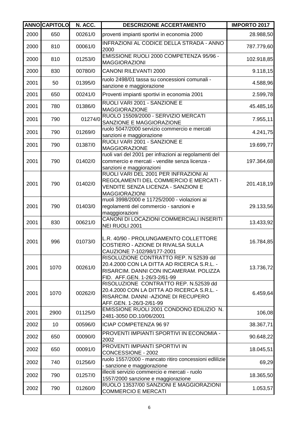|      | <b>ANNO CAPITOLO</b> | N. ACC. | <b>DESCRIZIONE ACCERTAMENTO</b>                                                                                                                               | <b>IMPORTO 2017</b> |
|------|----------------------|---------|---------------------------------------------------------------------------------------------------------------------------------------------------------------|---------------------|
| 2000 | 650                  | 00261/0 | proventi impianti sportivi in economia 2000                                                                                                                   | 28.988,50           |
| 2000 | 810                  | 00061/0 | INFRAZIONI AL CODICE DELLA STRADA - ANNO<br>2000                                                                                                              | 787.779,60          |
| 2000 | 810                  | 01253/0 | EMISSIONE RUOLI 2000 COMPETENZA 95/96 -<br><b>MAGGIORAZIONI</b>                                                                                               | 102.918,85          |
| 2000 | 830                  | 00780/0 | <b>CANONI RILEVANTI 2000</b>                                                                                                                                  | 9.118,15            |
| 2001 | 50                   | 01395/0 | ruolo 2498/01 tassa su concessioni comunali -<br>sanzione e maggiorazione                                                                                     | 4.588,96            |
| 2001 | 650                  | 00241/0 | Proventi impianti sportivi in economia 2001                                                                                                                   | 2.599,78            |
| 2001 | 780                  | 01386/0 | RUOLI VARI 2001 - SANZIONE E<br><b>MAGGIORAZIONE</b>                                                                                                          | 45.485,16           |
| 2001 | 790                  | 01274/0 | RUOLO 15509/2000 - SERVIZIO MERCATI<br>SANZIONE E MAGGIORAZIONE                                                                                               | 7.955,11            |
| 2001 | 790                  | 01269/0 | ruolo 5047/2000 servizio commercio e mercati<br>sanzioni e maggiorazione                                                                                      | 4.241,75            |
| 2001 | 790                  | 01387/0 | RUOLI VARI 2001 - SANZIONE E                                                                                                                                  | 19.699,77           |
| 2001 | 790                  | 01402/0 | <b>MAGGIORAZIONE</b><br>ruoli vari del 2001 per infrazioni ai regolamenti del<br>commercio e mercati - vendite senza licenza -<br>sanzioni e maggiorazioni    | 197.364,68          |
| 2001 | 790                  | 01402/0 | RUOLI VARI DEL 2001 PER INFRAZIONI AI<br>REGOLAMENTI DEL COMMERCIO E MERCATI -<br>VENDITE SENZA LICENZA - SANZIONI E<br><b>MAGGIORAZIONI</b>                  | 201.418,19          |
| 2001 | 790                  | 01403/0 | rruoli 3998/2000 e 11725/2000 - violazioni ai<br>regolamenti del commercio - sanzioni e<br>maqggiorazioni                                                     | 29.133,56           |
| 2001 | 830                  | 00621/0 | CANONI DI LOCAZIONI COMMERCIALI INSERITI<br>NEI RUOLI 2001                                                                                                    | 13.433,92           |
| 2001 | 996                  | 01073/0 | L.R. 40/90 - PROLUNGAMENTO COLLETTORE<br>COSTIERO - AZIONE DI RIVALSA SULLA<br>CAUZIONE 7-102/98/177-2001                                                     | 16.784,85           |
| 2001 | 1070                 | 00261/0 | RISOLUZIONE CONTRATTO REP. N 52539 dd<br>20.4.2000 CON LA DITTA AD RICERCA S.R.L. -<br>RISARCIM. DANNI CON INCAMERAM. POLIZZA<br>FID. AFF.GEN. 1-26/3-2/61-99 | 13.736,72           |
| 2001 | 1070                 | 00262/0 | RISOLUZIONE CONTRATTO REP. N.52539 dd<br>20.4.2000 CON LA DITTA AD RICERCA S.R.L. -<br>RISARCIM. DANNI - AZIONE DI RECUPERO<br>AFF.GEN. 1-26/3-2/61-99        | 6.459,64            |
| 2001 | 2900                 | 01125/0 | EMISSIONE RUOLI 2001 CONDONO EDILIZIO N.<br>2481-3050 DD.10/06/2001                                                                                           | 106,08              |
| 2002 | 10                   | 00596/0 | ICIAP COMPETENZA 96 97                                                                                                                                        | 38.367,71           |
| 2002 | 650                  | 00090/0 | PROVENTI IMPIANTI SPORTIVI IN ECONOMIA -<br>2002                                                                                                              | 90.648,22           |
| 2002 | 650                  | 00091/0 | PROVENTI IMPIANTI SPORTIVI IN<br>CONCESSIONE - 2002                                                                                                           | 18.045,51           |
| 2002 | 740                  | 01256/0 | ruolo 1557/2000 - mancato ritiro concessioni edlilizie<br>sanzione e maggiorazione                                                                            | 69,29               |
| 2002 | 790                  | 01257/0 | illeciti servizio commercio e mercati - ruolo<br>1557/2000 sanzione e maggiorazione                                                                           | 18.365,50           |
| 2002 | 790                  | 01260/0 | RUOLO 13537/00 SANZIONI E MAGGIORAZIONI<br><b>COMMERCIO E MERCATI</b>                                                                                         | 1.053,57            |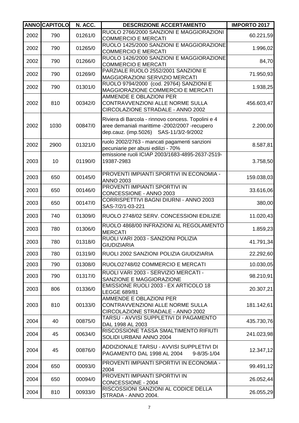|      | <b>ANNOCAPITOLO</b> | N. ACC. | <b>DESCRIZIONE ACCERTAMENTO</b>                                                                                                               | <b>IMPORTO 2017</b> |
|------|---------------------|---------|-----------------------------------------------------------------------------------------------------------------------------------------------|---------------------|
| 2002 | 790                 | 01261/0 | RUOLO 2766/2000 SANZIONI E MAGGIORAZIONI<br><b>COMMERCIO E MERCATI</b>                                                                        | 60.221,59           |
| 2002 | 790                 | 01265/0 | RUOLO 1425/2000 SANZIONI E MAGGIORAZIONE<br><b>COMMERCIO E MERCATI</b>                                                                        | 1.996,02            |
| 2002 | 790                 | 01266/0 | RUOLO 1426/2000 SANZIONI E MAGGIORAZIONE<br><b>COMMERCIO E MERCATI</b>                                                                        | 84,70               |
| 2002 | 790                 | 01269/0 | PARZIALE RUOLO 2552/2001 SANZIONI E<br>MAGGIORAZIONI SERVIZIO MERCATI                                                                         | 71.950,93           |
| 2002 | 790                 | 01301/0 | RUOLO 9794/2000 (cod. 29764) SANZIONI E<br>MAGGIORAZIONE COMMERCIO E MERCATI                                                                  | 1.938,25            |
| 2002 | 810                 | 00342/0 | AMMENDE E OBLAZIONI PER<br>CONTRAVVENZIONI ALLE NORME SULLA<br>CIRCOLAZIONE STRADALE - ANNO 2002                                              | 456.603,47          |
| 2002 | 1030                | 00847/0 | Riviera di Barcola - rinnovo concess. Topolini e 4<br>aree demaniali marittime -2002/2007 -recupero<br>dep.cauz. (imp.5026) SAS-11/3/2-9/2002 | 2.200,00            |
| 2002 | 2900                | 01321/0 | ruolo 2002/2763 - mancati pagamenti sanzioni<br>pecuniarie per abusi edilizi - 70%                                                            | 8.587,81            |
| 2003 | 10                  | 01190/0 | emissione ruoli ICIAP 2003/1683-4895-2637-2519-<br>19387-2983                                                                                 | 3.758,50            |
| 2003 | 650                 | 00145/0 | PROVENTI IMPIANTI SPORTIVI IN ECONOMIA -<br><b>ANNO 2003</b>                                                                                  | 159.038,03          |
| 2003 | 650                 | 00146/0 | PROVENTI IMPIANTI SPORTIVI IN<br>CONCESSIONE - ANNO 2003                                                                                      | 33.616,06           |
| 2003 | 650                 | 00147/0 | CORRISPETTIVI BAGNI DIURNI - ANNO 2003<br>SAS-7/2/1-03-221                                                                                    | 380,00              |
| 2003 | 740                 | 01309/0 | RUOLO 2748/02 SERV. CONCESSIONI EDILIZIE                                                                                                      | 11.020,43           |
| 2003 | 780                 | 01306/0 | RUOLO 4868/00 INFRAZIONI AL REGOLAMENTO<br><b>MERCATI</b>                                                                                     | 1.859,23            |
| 2003 | 780                 | 01318/0 | RUOLI VARI 2003 - SANZIONI POLIZIA<br><b>GIUDIZIARIA</b>                                                                                      | 41.791,34           |
| 2003 | 780                 | 01319/0 | RUOLI 2002 SANZIONI POLIZIA GIUDIZIARIA                                                                                                       | 22.292,60           |
| 2003 | 790                 | 01308/0 | RUOLO2748/02 COMMERCIO E MERCATI                                                                                                              | 10.030,05           |
| 2003 | 790                 | 01317/0 | RUOLI VARI 2003 - SERVIZIO MERCATI -<br>SANZIONE E MAGGIORAZIONE                                                                              | 98.210,91           |
| 2003 | 806                 | 01336/0 | EMISSIONE RUOLI 2003 - EX ARTICOLO 18<br>LEGGE 689/81                                                                                         | 20.307,21           |
| 2003 | 810                 | 00133/0 | <b>AMMENDE E OBLAZIONI PER</b><br>CONTRAVVENZIONI ALLE NORME SULLA<br>CIRCOLAZIONE STRADALE - ANNO 2002                                       | 181.142,61          |
| 2004 | 40                  | 00875/0 | TARSU - AVVISI SUPPLETIVI DI PAGAMENTO<br>DAL 1998 AL 2003                                                                                    | 435.730,76          |
| 2004 | 45                  | 00634/0 | RISCOSSIONE TASSA SMALTIMENTO RIFIUTI<br>SOLIDI URBANI ANNO 2004                                                                              | 241.023,98          |
| 2004 | 45                  | 00876/0 | ADDIZIONALE TARSU - AVVISI SUPPLETIVI DI<br>PAGAMENTO DAL 1998 AL 2004<br>$9 - 8/35 - 1/04$                                                   | 12.347,12           |
| 2004 | 650                 | 00093/0 | PROVENTI IMPIANTI SPORTIVI IN ECONOMIA -<br>2004                                                                                              | 99.491,12           |
| 2004 | 650                 | 00094/0 | PROVENTI IMPIANTI SPORTIVI IN<br>CONCESSIONE - 2004                                                                                           | 26.052,44           |
| 2004 | 810                 | 00933/0 | RISCOSSIONI SANZIONI AL CODICE DELLA<br>STRADA - ANNO 2004.                                                                                   | 26.055,29           |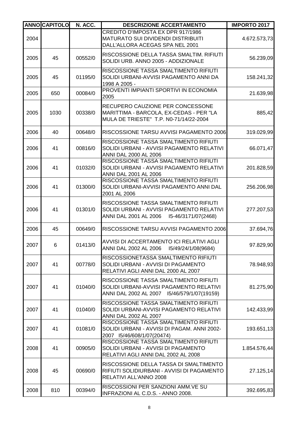|      | <b>ANNOCAPITOLO</b> | N. ACC. | <b>DESCRIZIONE ACCERTAMENTO</b>                                                                                                 | <b>IMPORTO 2017</b> |
|------|---------------------|---------|---------------------------------------------------------------------------------------------------------------------------------|---------------------|
| 2004 |                     |         | CREDITO D'IMPOSTA EX DPR 917/1986<br><b>MATURATO SUI DIVIDENDI DISTRIBUITI</b><br>DALL'ALLORA ACEGAS SPA NEL 2001               | 4.672.573,73        |
| 2005 | 45                  | 00552/0 | RISCOSSIONE DELLA TASSA SMALTIM. RIFIUTI<br>SOLIDI URB. ANNO 2005 - ADDIZIONALE                                                 | 56.239,09           |
| 2005 | 45                  | 01195/0 | RISCOSSIONE TASSA SMALTIMENTO RIFIUTI<br>SOLIDI URBANI-AVVISI PAGAMENTO ANNI DA<br>1998 A 2005 -                                | 158.241,32          |
| 2005 | 650                 | 00084/0 | PROVENTI IMPIANTI SPORTIVI IN ECONOMIA<br>2005                                                                                  | 21.639,98           |
| 2005 | 1030                | 00338/0 | <b>RECUPERO CAUZIONE PER CONCESSONE</b><br>MARITTIMA - BARCOLA, EX-CEDAS - PER "LA<br>MULA DE TRIESTE" T.P. N0-71/14/22-2004    | 885,42              |
| 2006 | 40                  | 00648/0 | RISCOSSIONE TARSU AVVISI PAGAMENTO 2006                                                                                         | 319.029,99          |
| 2006 | 41                  | 00816/0 | RISCOSSIONE TASSA SMALTIMENTO RIFIUTI<br>SOLIDI URBANI - AVVISI PAGAMENTO RELATIVI<br><b>ANNI DAL 2000 AL 2006</b>              | 66.071,47           |
| 2006 | 41                  | 01032/0 | RISCOSSIONE TASSA SMALTIMENTO RIFIUTI<br>SOLIDI URBANI - AVVISI PAGAMENTO RELATIVI<br>ANNI DAL 2001 AL 2006                     | 201.828,59          |
| 2006 | 41                  | 01300/0 | RISCOSSIONE TASSA SMALTIMENTO RIFIUTI<br>SOLIDI URBANI-AVVISI PAGAMENTO ANNI DAL<br>2001 AL 2006                                | 256.206,98          |
| 2006 | 41                  | 01301/0 | RISCOSSIONE TASSA SMALTIMENTO RIFIUTI<br>SOLIDI URBANI - AVVISI PAGAMENTO RELATIVI                                              | 277.207,53          |
| 2006 | 45                  | 00649/0 | RISCOSSIONE TARSU AVVISI PAGAMENTO 2006                                                                                         | 37.694,76           |
| 2007 | 6                   | 01413/0 | AVVISI DI ACCERTAMENTO ICI RELATIVI AGLI<br>ANNI DAL 2002 AL 2006<br>I5/49/24/1/08(9684)                                        | 97.829,90           |
| 2007 | 41                  | 00778/0 | RISCOSSIONETASSA SMALTIMENTO RIFIUTI<br>SOLIDI URBANI - AVVISI DI PAGAMENTO<br>RELATIVI AGLI ANNI DAL 2000 AL 2007              | 78.948,93           |
| 2007 | 41                  | 01040/0 | RISCOSSIONE TASSA SMALTIMENTO RIFIUTI<br>SOLIDI URBANI-AVVISI PAGAMENTO RELATIVI<br>ANNI DAL 2002 AL 2007 15/46/579/1/07(19159) | 81.275,90           |
| 2007 | 41                  | 01040/0 | RISCOSSIONE TASSA SMALTIMENTO RIFIUTI<br>SOLIDI URBANI-AVVISI PAGAMENTO RELATIVI<br>ANNI DAL 2002 AL 2007                       | 142.433,99          |
| 2007 | 41                  | 01081/0 | RISCOSSIONE TASSA SMALTIMENTO RIFIUTI<br>SOLIDI URBANI - AVVISI DI PAGAM. ANNI 2002-<br>2007 15/46/608/1/07(20474)              | 193.651,13          |
| 2008 | 41                  | 00905/0 | RISCOSSIONE TASSA SMALTIMENTO RIFIUTI<br>SOLIDI URBANI - AVVISI DI PAGAMENTO<br>RELATIVI AGLI ANNI DAL 2002 AL 2008             | 1.854.576,44        |
| 2008 | 45                  | 00690/0 | RISCOSSIONE DELLA TASSA DI SMALTIMENTO<br>RIFIUTI SOLIDIURBANI - AVVISI DI PAGAMENTO<br>RELATIVI ALL'ANNO 2008                  | 27.125,14           |
| 2008 | 810                 | 00394/0 | RISCOSSIONI PER SANZIONI AMM.VE SU<br>INFRAZIONI AL C.D.S. - ANNO 2008.                                                         | 392.695,83          |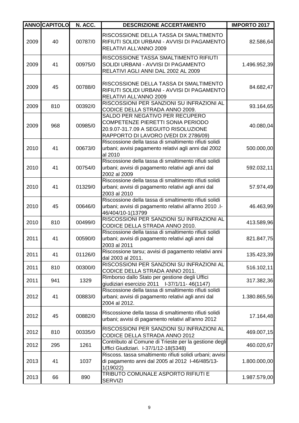|      | <b>ANNOCAPITOLO</b> | N. ACC. | <b>DESCRIZIONE ACCERTAMENTO</b>                                                                                                                       | <b>IMPORTO 2017</b> |
|------|---------------------|---------|-------------------------------------------------------------------------------------------------------------------------------------------------------|---------------------|
| 2009 | 40                  | 00787/0 | RISCOSSIONE DELLA TASSA DI SMALTIMENTO<br>RIFIUTI SOLIDI URBANI - AVVISI DI PAGAMENTO<br>RELATIVI ALL'ANNO 2009                                       | 82.586,64           |
| 2009 | 41                  | 00975/0 | RISCOSSIONE TASSA SMALTIMENTO RIFIUTI<br>SOLIDI URBANI - AVVISI DI PAGAMENTO<br>RELATIVI AGLI ANNI DAL 2002 AL 2009                                   | 1.496.952,39        |
| 2009 | 45                  | 00788/0 | RISCOSSIONE DELLA TASSA DI SMALTIMENTO<br>RIFIUTI SOLIDI URBANI - AVVISI DI PAGAMENTO<br>RELATIVI ALL'ANNO 2009                                       | 84.682,47           |
| 2009 | 810                 | 00392/0 | RISCOSSIONI PER SANZIONI SU INFRAZIONI AL<br>CODICE DELLA STRADA ANNO 2009.                                                                           | 93.164,65           |
| 2009 | 968                 | 00985/0 | SALDO PER NEGATIVO PER RECUPERO<br>COMPETENZE PIERETTI SONIA PERIODO<br>20.9.07-31.7.09 A SEGUITO RISOLUZIONE<br>RAPPORTO DI LAVORO (VEDI DX 2786/09) | 40.080,04           |
| 2010 | 41                  | 00673/0 | Riscossione della tassa di smaltimento rifiuti solidi<br>urbani; avvisi pagamento relativi agli anni dal 2002<br>al 2010                              | 500.000,00          |
| 2010 | 41                  | 00754/0 | Riscossione della tassa di smaltimento rifiuti solidi<br>urbani; avvisi di pagamento relativi agli anni dal<br>2002 al 2009                           | 592.032,11          |
| 2010 | 41                  | 01329/0 | Riscossione della tassa di smaltimento rifiuti solidi<br>urbani; avvisi di pagamento relativi agli anni dal<br>2003 al 2010                           | 57.974,49           |
| 2010 | 45                  | 00646/0 | Riscossione della tassa di smaltimento rifiuti solidi<br>urbani; avvisi di pagamento relativi all'anno 2010 .l-<br>46/404/10-1(13799                  | 46.463,99           |
| 2010 | 810                 | 00499/0 | RISCOSSIONI PER SANZIONI SU INFRAZIONI AL<br>CODICE DELLA STRADA ANNO 2010.                                                                           | 413.589,96          |
| 2011 | 41                  | 00590/0 | Riscossione della tassa di smaltimento rifiuti solidi<br>urbani; avvisi di pagamento relativi agli anni dal<br>2003 al 2011                           | 821.847,75          |
| 2011 | 41                  | 01126/0 | Riscossione tarsu; avvisi di pagamento relativi anni<br>dal 2003 al 2011.                                                                             | 135.423,39          |
| 2011 | 810                 | 00300/0 | RISCOSSIONI PER SANZIONI SU INFRAZIONI AL<br>CODICE DELLA STRADA ANNO 2011.                                                                           | 516.102,11          |
| 2011 | 941                 | 1329    | Rimborso dallo Stato per gestione degli Uffici<br>giudiziari esercizio 2011  - I-37/1/11-46(1147)                                                     | 317.382,36          |
| 2012 | 41                  | 00883/0 | Riscossione della tassa di smaltimento rifiuti solidi<br>urbani; avvisi di pagamento relativi agli anni dal<br>2004 al 2012.                          | 1.380.865,56        |
| 2012 | 45                  | 00882/0 | Riscossione della tassa di smaltimento rifiuti solidi<br>urbani; avvisi di pagamento relativi all'anno 2012                                           | 17.164,48           |
| 2012 | 810                 | 00335/0 | RISCOSSIONI PER SANZIONI SU INFRAZIONI AL<br>CODICE DELLA STRADA ANNO 2012                                                                            | 469.007,15          |
| 2012 | 295                 | 1261    | Contributo al Comune di Trieste per la gestione degli<br>Uffici Giudiziari. I-37/1/12-18(5348)                                                        | 460.020,67          |
| 2013 | 41                  | 1037    | Riscoss. tassa smaltimento rifiuti solidi urbani; avvisi<br>di pagamento anni dal 2005 al 2012 1-46/485/13-<br>1(19022)                               | 1.800.000,00        |
| 2013 | 66                  | 890     | TRIBUTO COMUNALE ASPORTO RIFIUTI E<br><b>SERVIZI</b>                                                                                                  | 1.987.579,00        |